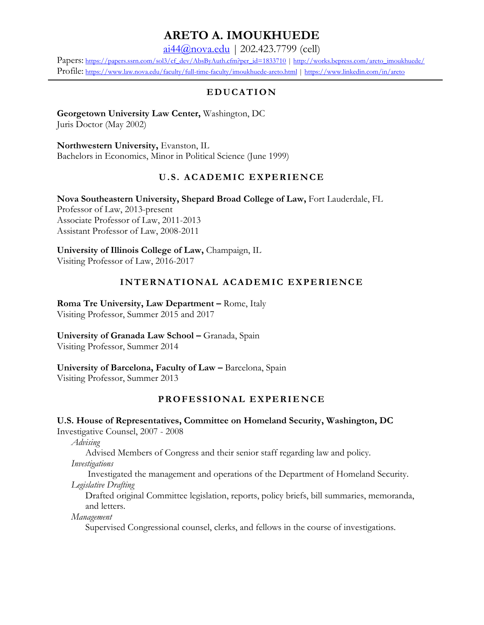# **ARETO A. IMOUKHUEDE**

[ai44@nova.edu](mailto:ai44@nova.edu) | 202.423.7799 (cell)

Papers: [https://papers.ssrn.com/sol3/cf\\_dev/AbsByAuth.cfm?per\\_id=1833710](https://papers.ssrn.com/sol3/cf_dev/AbsByAuth.cfm?per_id=1833710) | [http://works.bepress.com/areto\\_imoukhuede/](http://works.bepress.com/areto_imoukhuede/) Profile: <https://www.law.nova.edu/faculty/full-time-faculty/imoukhuede-areto.html> | <https://www.linkedin.com/in/areto>

## E D U CATION

**Georgetown University Law Center,** Washington, DC Juris Doctor (May 2002)

**Northwestern University,** Evanston, IL Bachelors in Economics, Minor in Political Science (June 1999)

## **U.S. ACADEMIC EXPERIENCE**

**Nova Southeastern University, Shepard Broad College of Law,** Fort Lauderdale, FL Professor of Law, 2013-present Associate Professor of Law, 2011-2013 Assistant Professor of Law, 2008-2011

**University of Illinois College of Law,** Champaign, IL Visiting Professor of Law, 2016-2017

## **INTERNATIONAL ACADEMIC EXPERIENCE**

**Roma Tre University, Law Department – Rome, Italy** Visiting Professor, Summer 2015 and 2017

**University of Granada Law School –** Granada, Spain

Visiting Professor, Summer 2014

## **University of Barcelona, Faculty of Law –** Barcelona, Spain

Visiting Professor, Summer 2013

## **PR O FE SSI O NAL E X PERI E NCE**

## **U.S. House of Representatives, Committee on Homeland Security, Washington, DC**

Investigative Counsel, 2007 - 2008

*Advising*

Advised Members of Congress and their senior staff regarding law and policy.

*Investigations*

Investigated the management and operations of the Department of Homeland Security. *Legislative Drafting*

Drafted original Committee legislation, reports, policy briefs, bill summaries, memoranda, and letters.

*Management*

Supervised Congressional counsel, clerks, and fellows in the course of investigations.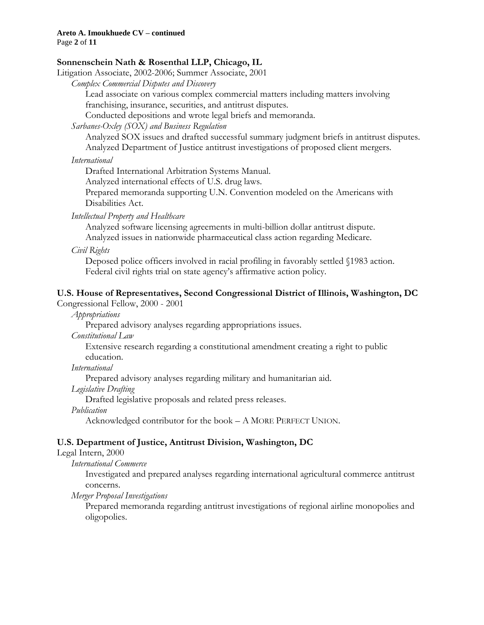#### **Areto A. Imoukhuede CV – continued**

Page **2** of **11**

#### **Sonnenschein Nath & Rosenthal LLP, Chicago, IL**

Litigation Associate, 2002-2006; Summer Associate, 2001

*Complex Commercial Disputes and Discovery*

Lead associate on various complex commercial matters including matters involving franchising, insurance, securities, and antitrust disputes.

Conducted depositions and wrote legal briefs and memoranda.

*Sarbanes-Oxley (SOX) and Business Regulation*

Analyzed SOX issues and drafted successful summary judgment briefs in antitrust disputes. Analyzed Department of Justice antitrust investigations of proposed client mergers.

#### *International*

Drafted International Arbitration Systems Manual.

Analyzed international effects of U.S. drug laws.

Prepared memoranda supporting U.N. Convention modeled on the Americans with Disabilities Act.

#### *Intellectual Property and Healthcare*

Analyzed software licensing agreements in multi-billion dollar antitrust dispute. Analyzed issues in nationwide pharmaceutical class action regarding Medicare.

#### *Civil Rights*

Deposed police officers involved in racial profiling in favorably settled §1983 action. Federal civil rights trial on state agency's affirmative action policy.

## **U.S. House of Representatives, Second Congressional District of Illinois, Washington, DC**

Congressional Fellow, 2000 - 2001

*Appropriations*

Prepared advisory analyses regarding appropriations issues.

*Constitutional Law*

Extensive research regarding a constitutional amendment creating a right to public education.

*International*

Prepared advisory analyses regarding military and humanitarian aid.

*Legislative Drafting*

Drafted legislative proposals and related press releases.

*Publication*

Acknowledged contributor for the book – A MORE PERFECT UNION.

## **U.S. Department of Justice, Antitrust Division, Washington, DC**

#### Legal Intern, 2000

*International Commerce*

Investigated and prepared analyses regarding international agricultural commerce antitrust concerns.

*Merger Proposal Investigations*

Prepared memoranda regarding antitrust investigations of regional airline monopolies and oligopolies.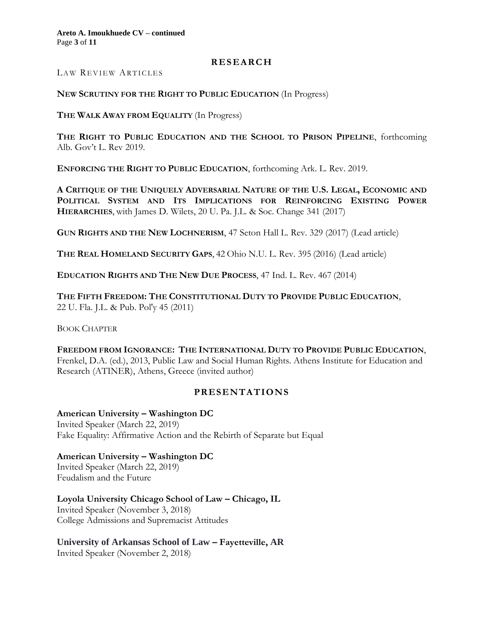#### **R ES EARC H**

LAW REVIEW ARTICLES

#### **NEW SCRUTINY FOR THE RIGHT TO PUBLIC EDUCATION** (In Progress)

**THE WALK AWAY FROM EQUALITY** (In Progress)

**THE RIGHT TO PUBLIC EDUCATION AND THE SCHOOL TO PRISON PIPELINE**, forthcoming Alb. Gov't L. Rev 2019.

**ENFORCING THE RIGHT TO PUBLIC EDUCATION**, forthcoming Ark. L. Rev. 2019.

**A CRITIQUE OF THE UNIQUELY ADVERSARIAL NATURE OF THE U.S. LEGAL, ECONOMIC AND POLITICAL SYSTEM AND ITS IMPLICATIONS FOR REINFORCING EXISTING POWER HIERARCHIES**, with James D. Wilets, 20 U. Pa. J.L. & Soc. Change 341 (2017)

**GUN RIGHTS AND THE NEW LOCHNERISM**, 47 Seton Hall L. Rev. 329 (2017) (Lead article)

**THE REAL HOMELAND SECURITY GAPS**, 42 Ohio N.U. L. Rev. 395 (2016) (Lead article)

**EDUCATION RIGHTS AND THE NEW DUE PROCESS**, 47 Ind. L. Rev. 467 (2014)

**THE FIFTH FREEDOM: THE CONSTITUTIONAL DUTY TO PROVIDE PUBLIC EDUCATION**, 22 U. Fla. J.L. & Pub. Pol'y 45 (2011)

BOOK CHAPTER

**FREEDOM FROM IGNORANCE: THE INTERNATIONAL DUTY TO PROVIDE PUBLIC EDUCATION**, Frenkel, D.A. (ed.), 2013, Public Law and Social Human Rights. Athens Institute for Education and Research (ATINER), Athens, Greece (invited author)

## **PRESENTATIONS**

**American University – Washington DC** Invited Speaker (March 22, 2019) Fake Equality: Affirmative Action and the Rebirth of Separate but Equal

**American University – Washington DC** Invited Speaker (March 22, 2019) Feudalism and the Future

**Loyola University Chicago School of Law – Chicago, IL** Invited Speaker (November 3, 2018) College Admissions and Supremacist Attitudes

**University of Arkansas School of Law – Fayetteville, AR**

Invited Speaker (November 2, 2018)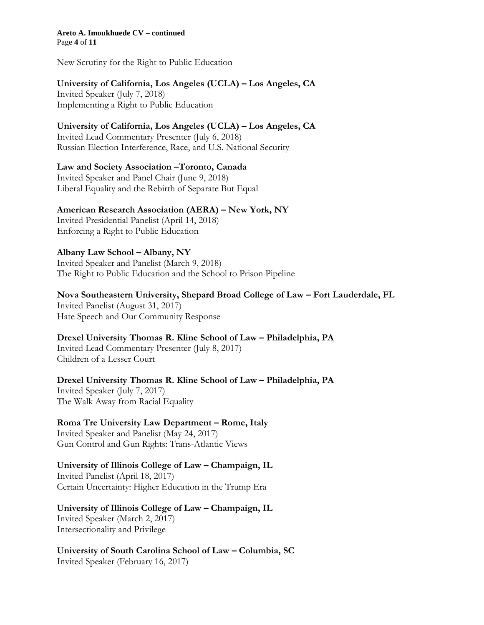**Areto A. Imoukhuede CV – continued** Page **4** of **11**

New Scrutiny for the Right to Public Education

#### **University of California, Los Angeles (UCLA) – Los Angeles, CA**

Invited Speaker (July 7, 2018) Implementing a Right to Public Education

#### **University of California, Los Angeles (UCLA) – Los Angeles, CA**

Invited Lead Commentary Presenter (July 6, 2018) Russian Election Interference, Race, and U.S. National Security

#### **Law and Society Association –Toronto, Canada**

Invited Speaker and Panel Chair (June 9, 2018) Liberal Equality and the Rebirth of Separate But Equal

#### **American Research Association (AERA) – New York, NY**

Invited Presidential Panelist (April 14, 2018) Enforcing a Right to Public Education

#### **Albany Law School – Albany, NY**

Invited Speaker and Panelist (March 9, 2018) The Right to Public Education and the School to Prison Pipeline

#### **Nova Southeastern University, Shepard Broad College of Law – Fort Lauderdale, FL**

Invited Panelist (August 31, 2017) Hate Speech and Our Community Response

## **Drexel University Thomas R. Kline School of Law – Philadelphia, PA**

Invited Lead Commentary Presenter (July 8, 2017) Children of a Lesser Court

#### **Drexel University Thomas R. Kline School of Law – Philadelphia, PA** Invited Speaker (July 7, 2017)

The Walk Away from Racial Equality

## **Roma Tre University Law Department – Rome, Italy**

Invited Speaker and Panelist (May 24, 2017) Gun Control and Gun Rights: Trans-Atlantic Views

## **University of Illinois College of Law – Champaign, IL**

Invited Panelist (April 18, 2017) Certain Uncertainty: Higher Education in the Trump Era

#### **University of Illinois College of Law – Champaign, IL** Invited Speaker (March 2, 2017)

Intersectionality and Privilege

**University of South Carolina School of Law – Columbia, SC** Invited Speaker (February 16, 2017)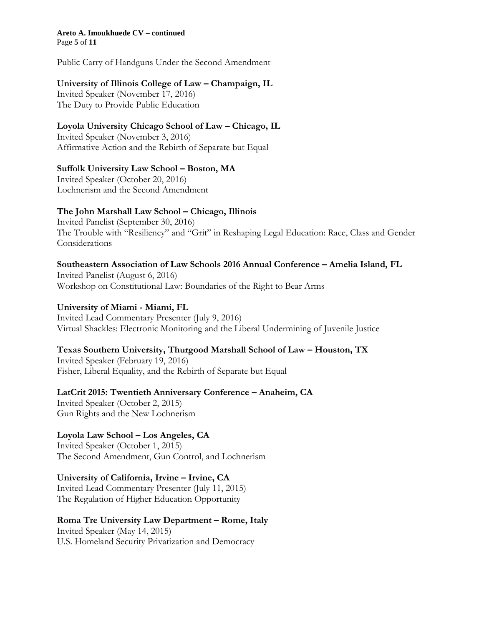#### **Areto A. Imoukhuede CV – continued** Page **5** of **11**

Public Carry of Handguns Under the Second Amendment

#### **University of Illinois College of Law – Champaign, IL**

Invited Speaker (November 17, 2016) The Duty to Provide Public Education

#### **Loyola University Chicago School of Law – Chicago, IL**

Invited Speaker (November 3, 2016) Affirmative Action and the Rebirth of Separate but Equal

#### **Suffolk University Law School – Boston, MA**

Invited Speaker (October 20, 2016) Lochnerism and the Second Amendment

## **The John Marshall Law School – Chicago, Illinois**

Invited Panelist (September 30, 2016) The Trouble with "Resiliency" and "Grit" in Reshaping Legal Education: Race, Class and Gender Considerations

#### **Southeastern Association of Law Schools 2016 Annual Conference – Amelia Island, FL**

Invited Panelist (August 6, 2016) Workshop on Constitutional Law: Boundaries of the Right to Bear Arms

#### **University of Miami - Miami, FL**

Invited Lead Commentary Presenter (July 9, 2016) Virtual Shackles: Electronic Monitoring and the Liberal Undermining of Juvenile Justice

## **Texas Southern University, Thurgood Marshall School of Law – Houston, TX**

Invited Speaker (February 19, 2016) Fisher, Liberal Equality, and the Rebirth of Separate but Equal

## **LatCrit 2015: Twentieth Anniversary Conference – Anaheim, CA**

Invited Speaker (October 2, 2015) Gun Rights and the New Lochnerism

## **Loyola Law School – Los Angeles, CA**

Invited Speaker (October 1, 2015) The Second Amendment, Gun Control, and Lochnerism

#### **University of California, Irvine – Irvine, CA**

Invited Lead Commentary Presenter (July 11, 2015) The Regulation of Higher Education Opportunity

## **Roma Tre University Law Department – Rome, Italy**

Invited Speaker (May 14, 2015) U.S. Homeland Security Privatization and Democracy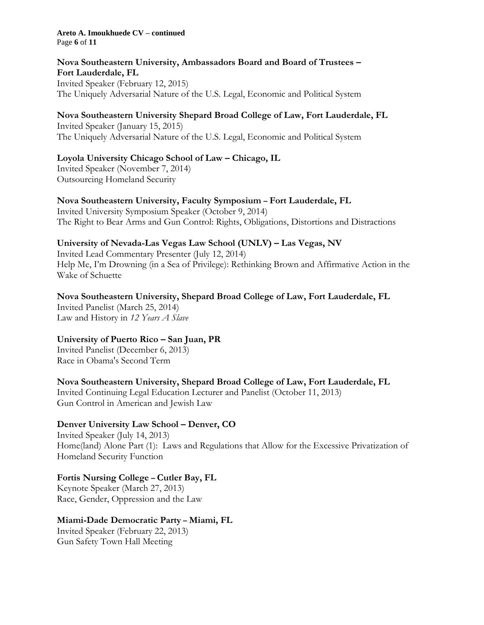#### **Areto A. Imoukhuede CV – continued** Page **6** of **11**

#### **Nova Southeastern University, Ambassadors Board and Board of Trustees – Fort Lauderdale, FL**

Invited Speaker (February 12, 2015) The Uniquely Adversarial Nature of the U.S. Legal, Economic and Political System

## **Nova Southeastern University Shepard Broad College of Law, Fort Lauderdale, FL**

Invited Speaker (January 15, 2015) The Uniquely Adversarial Nature of the U.S. Legal, Economic and Political System

## **Loyola University Chicago School of Law – Chicago, IL**

Invited Speaker (November 7, 2014) Outsourcing Homeland Security

## **Nova Southeastern University, Faculty Symposium – Fort Lauderdale, FL**

Invited University Symposium Speaker (October 9, 2014) The Right to Bear Arms and Gun Control: Rights, Obligations, Distortions and Distractions

## **University of Nevada-Las Vegas Law School (UNLV) – Las Vegas, NV**

Invited Lead Commentary Presenter (July 12, 2014) Help Me, I'm Drowning (in a Sea of Privilege): Rethinking Brown and Affirmative Action in the Wake of Schuette

## **Nova Southeastern University, Shepard Broad College of Law, Fort Lauderdale, FL**

Invited Panelist (March 25, 2014) Law and History in *12 Years A Slave*

## **University of Puerto Rico – San Juan, PR**

Invited Panelist (December 6, 2013) Race in Obama's Second Term

## **Nova Southeastern University, Shepard Broad College of Law, Fort Lauderdale, FL**

Invited Continuing Legal Education Lecturer and Panelist (October 11, 2013) Gun Control in American and Jewish Law

## **Denver University Law School – Denver, CO**

Invited Speaker (July 14, 2013) Home(land) Alone Part (1): Laws and Regulations that Allow for the Excessive Privatization of Homeland Security Function

## **Fortis Nursing College – Cutler Bay, FL**

Keynote Speaker (March 27, 2013) Race, Gender, Oppression and the Law

## **Miami-Dade Democratic Party – Miami, FL**

Invited Speaker (February 22, 2013) Gun Safety Town Hall Meeting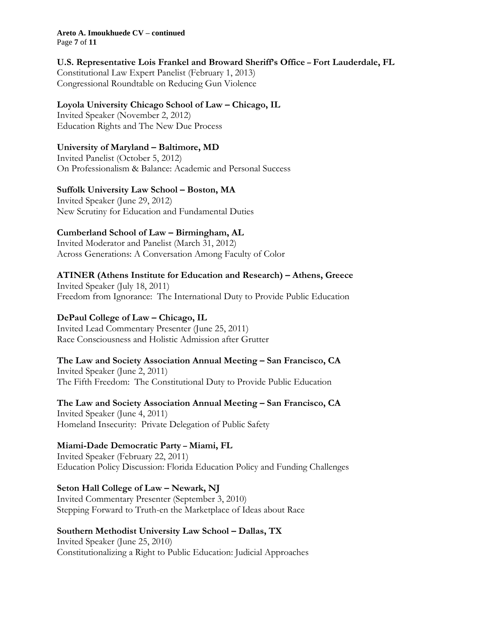#### **Areto A. Imoukhuede CV – continued**

Page **7** of **11**

## **U.S. Representative Lois Frankel and Broward Sheriff's Office – Fort Lauderdale, FL**

Constitutional Law Expert Panelist (February 1, 2013) Congressional Roundtable on Reducing Gun Violence

## **Loyola University Chicago School of Law – Chicago, IL**

Invited Speaker (November 2, 2012) Education Rights and The New Due Process

## **University of Maryland – Baltimore, MD**

Invited Panelist (October 5, 2012) On Professionalism & Balance: Academic and Personal Success

## **Suffolk University Law School – Boston, MA**

Invited Speaker (June 29, 2012) New Scrutiny for Education and Fundamental Duties

## **Cumberland School of Law – Birmingham, AL**

Invited Moderator and Panelist (March 31, 2012) Across Generations: A Conversation Among Faculty of Color

## **ATINER (Athens Institute for Education and Research) – Athens, Greece**

Invited Speaker (July 18, 2011) Freedom from Ignorance: The International Duty to Provide Public Education

## **DePaul College of Law – Chicago, IL**

Invited Lead Commentary Presenter (June 25, 2011) Race Consciousness and Holistic Admission after Grutter

## **The Law and Society Association Annual Meeting – San Francisco, CA**

Invited Speaker (June 2, 2011) The Fifth Freedom: The Constitutional Duty to Provide Public Education

**The Law and Society Association Annual Meeting – San Francisco, CA** Invited Speaker (June 4, 2011) Homeland Insecurity: Private Delegation of Public Safety

## **Miami-Dade Democratic Party – Miami, FL**

Invited Speaker (February 22, 2011) Education Policy Discussion: Florida Education Policy and Funding Challenges

## **Seton Hall College of Law – Newark, NJ**

Invited Commentary Presenter (September 3, 2010) Stepping Forward to Truth-en the Marketplace of Ideas about Race

## **Southern Methodist University Law School – Dallas, TX**

Invited Speaker (June 25, 2010) Constitutionalizing a Right to Public Education: Judicial Approaches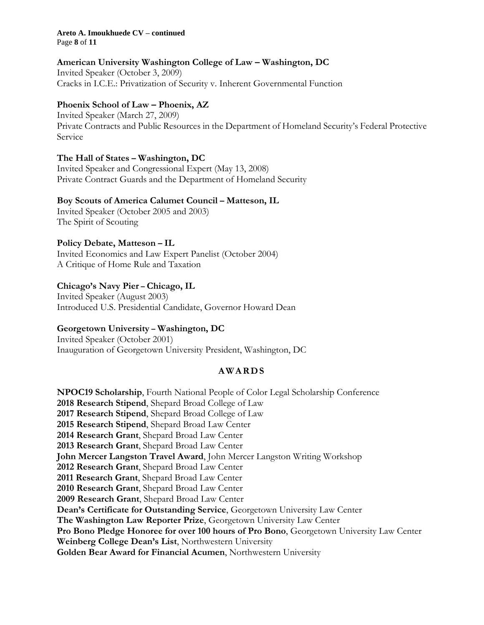#### **Areto A. Imoukhuede CV – continued** Page **8** of **11**

#### **American University Washington College of Law – Washington, DC**

Invited Speaker (October 3, 2009) Cracks in I.C.E.: Privatization of Security v. Inherent Governmental Function

#### **Phoenix School of Law – Phoenix, AZ**

Invited Speaker (March 27, 2009) Private Contracts and Public Resources in the Department of Homeland Security's Federal Protective Service

#### **The Hall of States – Washington, DC**

Invited Speaker and Congressional Expert (May 13, 2008) Private Contract Guards and the Department of Homeland Security

#### **Boy Scouts of America Calumet Council – Matteson, IL**

Invited Speaker (October 2005 and 2003) The Spirit of Scouting

#### **Policy Debate, Matteson – IL**

Invited Economics and Law Expert Panelist (October 2004) A Critique of Home Rule and Taxation

#### **Chicago's Navy Pier – Chicago, IL**

Invited Speaker (August 2003) Introduced U.S. Presidential Candidate, Governor Howard Dean

## **Georgetown University – Washington, DC**

Invited Speaker (October 2001) Inauguration of Georgetown University President, Washington, DC

## **AWA RD S**

**NPOC19 Scholarship**, Fourth National People of Color Legal Scholarship Conference **2018 Research Stipend**, Shepard Broad College of Law **2017 Research Stipend**, Shepard Broad College of Law **2015 Research Stipend**, Shepard Broad Law Center **2014 Research Grant**, Shepard Broad Law Center **2013 Research Grant**, Shepard Broad Law Center **John Mercer Langston Travel Award**, John Mercer Langston Writing Workshop **2012 Research Grant**, Shepard Broad Law Center **2011 Research Grant**, Shepard Broad Law Center **2010 Research Grant**, Shepard Broad Law Center **2009 Research Grant**, Shepard Broad Law Center **Dean's Certificate for Outstanding Service**, Georgetown University Law Center **The Washington Law Reporter Prize**, Georgetown University Law Center **Pro Bono Pledge Honoree for over 100 hours of Pro Bono**, Georgetown University Law Center **Weinberg College Dean's List**, Northwestern University **Golden Bear Award for Financial Acumen**, Northwestern University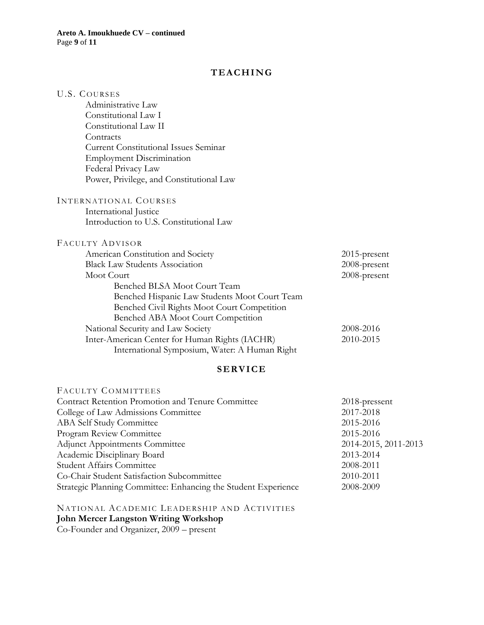#### **T EAC HI NG**

| <b>U.S. COURSES</b>                               |               |
|---------------------------------------------------|---------------|
| Administrative Law                                |               |
| Constitutional Law I                              |               |
| Constitutional Law II                             |               |
| Contracts                                         |               |
| <b>Current Constitutional Issues Seminar</b>      |               |
| <b>Employment Discrimination</b>                  |               |
| Federal Privacy Law                               |               |
| Power, Privilege, and Constitutional Law          |               |
| INTERNATIONAL COURSES                             |               |
| International Justice                             |               |
| Introduction to U.S. Constitutional Law           |               |
| FACULTY ADVISOR                                   |               |
| American Constitution and Society                 | 2015-present  |
| <b>Black Law Students Association</b>             | 2008-present  |
| Moot Court                                        | 2008-present  |
| Benched BLSA Moot Court Team                      |               |
| Benched Hispanic Law Students Moot Court Team     |               |
| Benched Civil Rights Moot Court Competition       |               |
| Benched ABA Moot Court Competition                |               |
| National Security and Law Society                 | 2008-2016     |
| Inter-American Center for Human Rights (IACHR)    | 2010-2015     |
| International Symposium, Water: A Human Right     |               |
| <b>SERVICE</b>                                    |               |
| FACULTY COMMITTEES                                |               |
| Contract Retention Promotion and Tenure Committee | 2018-pressent |
| College of Law Admissions Committee               | 2017-2018     |
| <b>ABA Self Study Committee</b>                   | 2015-2016     |

Program Review Committee 2015-2016 Adjunct Appointments Committee 2014-2015, 2011-2013 Academic Disciplinary Board 2013-2014 Student Affairs Committee 2008-2011 Co-Chair Student Satisfaction Subcommittee 2010-2011 Strategic Planning Committee: Enhancing the Student Experience 2008-2009

NATIONAL ACADEMIC LEADERSHIP AND ACTIVITIES **John Mercer Langston Writing Workshop** Co-Founder and Organizer, 2009 – present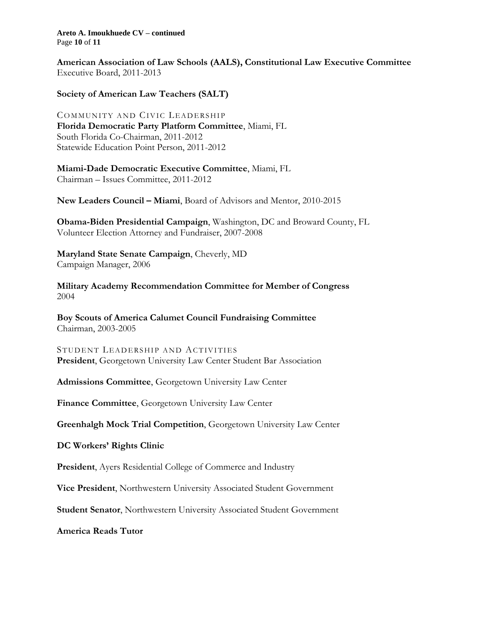**Areto A. Imoukhuede CV – continued** Page **10** of **11**

**American Association of Law Schools (AALS), Constitutional Law Executive Committee** Executive Board, 2011-2013

**Society of American Law Teachers (SALT)**

COMMUNITY AND CIVIC LEADERSHIP **Florida Democratic Party Platform Committee**, Miami, FL South Florida Co-Chairman, 2011-2012 Statewide Education Point Person, 2011-2012

**Miami-Dade Democratic Executive Committee**, Miami, FL Chairman – Issues Committee, 2011-2012

**New Leaders Council – Miami**, Board of Advisors and Mentor, 2010-2015

**Obama-Biden Presidential Campaign**, Washington, DC and Broward County, FL Volunteer Election Attorney and Fundraiser, 2007-2008

**Maryland State Senate Campaign**, Cheverly, MD Campaign Manager, 2006

**Military Academy Recommendation Committee for Member of Congress** 2004

**Boy Scouts of America Calumet Council Fundraising Committee** Chairman, 2003-2005

STUDENT LEADERSHIP AND ACTIVITIES **President**, Georgetown University Law Center Student Bar Association

**Admissions Committee**, Georgetown University Law Center

**Finance Committee**, Georgetown University Law Center

**Greenhalgh Mock Trial Competition**, Georgetown University Law Center

**DC Workers' Rights Clinic**

**President**, Ayers Residential College of Commerce and Industry

**Vice President**, Northwestern University Associated Student Government

**Student Senator**, Northwestern University Associated Student Government

**America Reads Tutor**